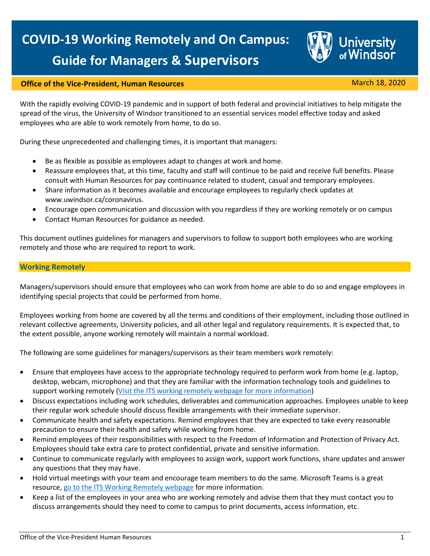

# **Office of the Vice-President, Human Resources** March 18, 2020

With the rapidly evolving COVID-19 pandemic and in support of both federal and provincial initiatives to help mitigate the spread of the virus, the University of Windsor transitioned to an essential services model effective today and asked employees who are able to work remotely from home, to do so.

During these unprecedented and challenging times, it is important that managers:

- Be as flexible as possible as employees adapt to changes at work and home.
- Reassure employees that, at this time, faculty and staff will continue to be paid and receive full benefits. Please consult with Human Resources for pay continuance related to student, casual and temporary employees.
- Share information as it becomes available and encourage employees to regularly check updates at www.uwindsor.ca/coronavirus.
- Encourage open communication and discussion with you regardless if they are working remotely or on campus
- Contact Human Resources for guidance as needed.

This document outlines guidelines for managers and supervisors to follow to support both employees who are working remotely and those who are required to report to work.

#### **Working Remotely**

Managers/supervisors should ensure that employees who can work from home are able to do so and engage employees in identifying special projects that could be performed from home.

Employees working from home are covered by all the terms and conditions of their employment, including those outlined in relevant collective agreements, University policies, and all other legal and regulatory requirements. It is expected that, to the extent possible, anyone working remotely will maintain a normal workload.

The following are some guidelines for managers/supervisors as their team members work remotely:

- Ensure that employees have access to the appropriate technology required to perform work from home (e.g. laptop, desktop, webcam, microphone) and that they are familiar with the information technology tools and guidelines to support working remotely [\(Visit the ITS working remotely webpage for more information\)](http://www.uwindsor.ca/coronavirus/333/working-remotely)
- Discuss expectations including work schedules, deliverables and communication approaches. Employees unable to keep their regular work schedule should discuss flexible arrangements with their immediate supervisor.
- Communicate health and safety expectations. Remind employees that they are expected to take every reasonable precaution to ensure their health and safety while working from home.
- Remind employees of their responsibilities with respect to the Freedom of Information and Protection of Privacy Act. Employees should take extra care to protect confidential, private and sensitive information.
- Continue to communicate regularly with employees to assign work, support work functions, share updates and answer any questions that they may have.
- Hold virtual meetings with your team and encourage team members to do the same. Microsoft Teams is a great resource[, go to the ITS Working Remotely webpage](http://www.uwindsor.ca/coronavirus/333/working-remotely) for more information.
- Keep a list of the employees in your area who are working remotely and advise them that they must contact you to discuss arrangements should they need to come to campus to print documents, access information, etc.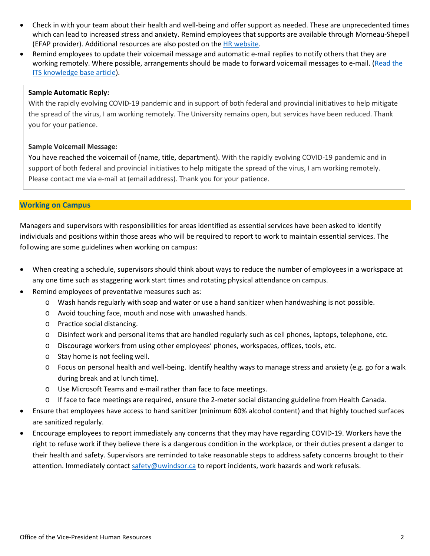- Check in with your team about their health and well-being and offer support as needed. These are unprecedented times which can lead to increased stress and anxiety. Remind employees that supports are available through Morneau-Shepell (EFAP provider). Additional resources are also posted on the [HR website.](http://www1.uwindsor.ca/hr/emotional-well-being-during-the-covid-19-pandemic)
- Remind employees to update their voicemail message and automatic e-mail replies to notify others that they are working remotely. Where possible, arrangements should be made to forward voicemail messages to e-mail. (Read the [ITS knowledge base article\)](https://uwindsor.teamdynamix.com/TDClient/1975/Portal/KB/ArticleDet?ID=11816).

### **Sample Automatic Reply:**

With the rapidly evolving COVID-19 pandemic and in support of both federal and provincial initiatives to help mitigate the spread of the virus, I am working remotely. The University remains open, but services have been reduced. Thank you for your patience.

#### **Sample Voicemail Message:**

You have reached the voicemail of (name, title, department). With the rapidly evolving COVID-19 pandemic and in support of both federal and provincial initiatives to help mitigate the spread of the virus, I am working remotely. Please contact me via e-mail at (email address). Thank you for your patience.

## **Working on Campus**

Managers and supervisors with responsibilities for areas identified as essential services have been asked to identify individuals and positions within those areas who will be required to report to work to maintain essential services. The following are some guidelines when working on campus:

- When creating a schedule, supervisors should think about ways to reduce the number of employees in a workspace at any one time such as staggering work start times and rotating physical attendance on campus.
- Remind employees of preventative measures such as:
	- o Wash hands regularly with soap and water or use a hand sanitizer when handwashing is not possible.
	- o Avoid touching face, mouth and nose with unwashed hands.
	- o Practice social distancing.
	- o Disinfect work and personal items that are handled regularly such as cell phones, laptops, telephone, etc.
	- o Discourage workers from using other employees' phones, workspaces, offices, tools, etc.
	- o Stay home is not feeling well.
	- o Focus on personal health and well-being. Identify healthy ways to manage stress and anxiety (e.g. go for a walk during break and at lunch time).
	- o Use Microsoft Teams and e-mail rather than face to face meetings.
	- o If face to face meetings are required, ensure the 2-meter social distancing guideline from Health Canada.
- Ensure that employees have access to hand sanitizer (minimum 60% alcohol content) and that highly touched surfaces are sanitized regularly.
- Encourage employees to report immediately any concerns that they may have regarding COVID-19. Workers have the right to refuse work if they believe there is a dangerous condition in the workplace, or their duties present a danger to their health and safety. Supervisors are reminded to take reasonable steps to address safety concerns brought to their attention. Immediately contact [safety@uwindsor.ca](mailto:safety@uwindsor.ca) to report incidents, work hazards and work refusals.